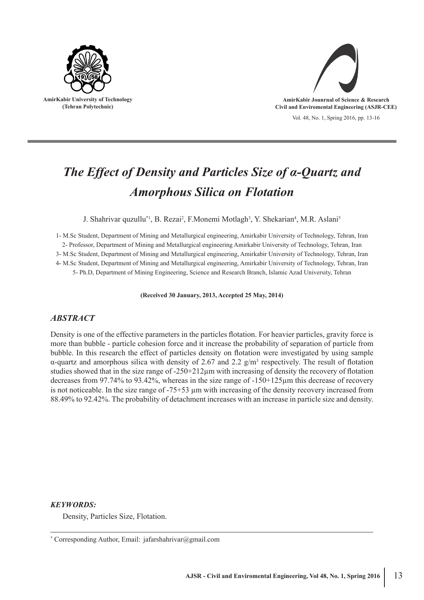



# *The Effect of Density and Particles Size of α-Quartz and Amorphous Silica on Flotation*

J. Shahrivar quzullu<sup>\*1</sup>, B. Rezai<sup>2</sup>, F.Monemi Motlagh<sup>3</sup>, Y. Shekarian<sup>4</sup>, M.R. Aslani<sup>5</sup>

1- M.Sc Student, Department of Mining and Metallurgical engineering, Amirkabir University of Technology, Tehran, Iran 2- Professor, Department of Mining and Metallurgical engineering Amirkabir University of Technology, Tehran, Iran

3- M.Sc Student, Department of Mining and Metallurgical engineering, Amirkabir University of Technology, Tehran, Iran

4- M.Sc Student, Department of Mining and Metallurgical engineering, Amirkabir University of Technology, Tehran, Iran

5- Ph.D, Department of Mining Engineering, Science and Research Branch, Islamic Azad University, Tehran

#### **(Received 30 January, 2013, Accepted 25 May, 2014)**

# *ABSTRACT*

Density is one of the effective parameters in the particles flotation. For heavier particles, gravity force is more than bubble - particle cohesion force and it increase the probability of separation of particle from bubble. In this research the effect of particles density on flotation were investigated by using sample α-quartz and amorphous silica with density of 2.67 and 2.2  $g/m<sup>3</sup>$  respectively. The result of flotation studies showed that in the size range of -250+212µm with increasing of density the recovery of flotation decreases from 97.74% to 93.42%, whereas in the size range of -150+125µm this decrease of recovery is not noticeable. In the size range of  $-75+53 \mu m$  with increasing of the density recovery increased from 88.49% to 92.42%. The probability of detachment increases with an increase in particle size and density.

### *KEYWORDS:*

Density, Particles Size, Flotation.

<sup>\*</sup> Corresponding Author, Email: jafarshahrivar@gmail.com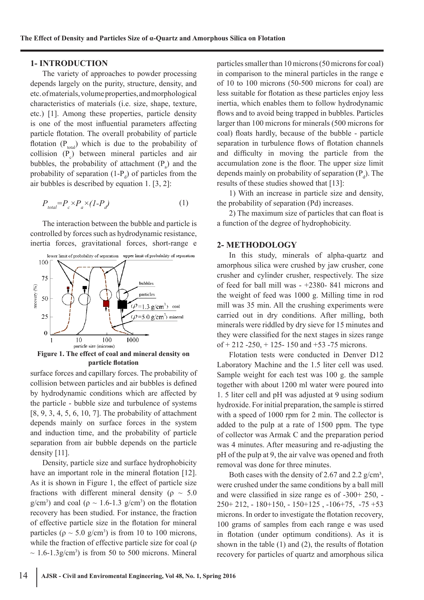#### **1- INTRODUCTION**

The variety of approaches to powder processing depends largely on the purity, structure, density, and etc. of materials, volume properties, and morphological characteristics of materials (i.e. size, shape, texture, etc.) [1]. Among these properties, particle density is one of the most influential parameters affecting particle flotation. The overall probability of particle flotation  $(P_{total})$  which is due to the probability of collision  $(P_c)$  between mineral particles and air bubbles, the probability of attachment  $(P_a)$  and the probability of separation  $(1-P_d)$  of particles from the air bubbles is described by equation 1. [3, 2]:

$$
P_{total} = P_c \times P_a \times (1 - P_d) \tag{1}
$$

The interaction between the bubble and particle is controlled by forces such as hydrodynamic resistance, inertia forces, gravitational forces, short-range e



**particle flotation**

surface forces and capillary forces. The probability of collision between particles and air bubbles is defined by hydrodynamic conditions which are affected by the particle - bubble size and turbulence of systems [8, 9, 3, 4, 5, 6, 10, 7]. The probability of attachment depends mainly on surface forces in the system and induction time, and the probability of particle separation from air bubble depends on the particle density [11].

Density, particle size and surface hydrophobicity have an important role in the mineral flotation [12]. As it is shown in Figure 1, the effect of particle size fractions with different mineral density ( $\rho \sim 5.0$ g/cm<sup>3</sup>) and coal ( $\rho \sim 1.6$ -1.3 g/cm<sup>3</sup>) on the flotation recovery has been studied. For instance, the fraction of effective particle size in the flotation for mineral particles ( $\rho \sim 5.0$  g/cm<sup>3</sup>) is from 10 to 100 microns, while the fraction of effective particle size for coal (ρ  $\sim 1.6$ -1.3g/cm<sup>3</sup>) is from 50 to 500 microns. Mineral

particles smaller than 10 microns (50 microns for coal) in comparison to the mineral particles in the range e of 10 to 100 microns (50-500 microns for coal) are less suitable for flotation as these particles enjoy less inertia, which enables them to follow hydrodynamic flows and to avoid being trapped in bubbles. Particles larger than 100 microns for minerals (500 microns for coal) floats hardly, because of the bubble - particle separation in turbulence flows of flotation channels and difficulty in moving the particle from the accumulation zone is the floor. The upper size limit depends mainly on probability of separation  $(P_d)$ . The results of these studies showed that [13]:

1) With an increase in particle size and density, the probability of separation (Pd) increases.

2) The maximum size of particles that can float is a function of the degree of hydrophobicity.

#### **2- METHODOLOGY**

In this study, minerals of alpha-quartz and amorphous silica were crushed by jaw crusher, cone crusher and cylinder crusher, respectively. The size of feed for ball mill was - +2380- 841 microns and the weight of feed was 1000 g. Milling time in rod mill was 35 min. All the crushing experiments were carried out in dry conditions. After milling, both minerals were riddled by dry sieve for 15 minutes and they were classified for the next stages in sizes range of  $+ 212 - 250$ ,  $+ 125 - 150$  and  $+ 53 - 75$  microns.

Flotation tests were conducted in Denver D12 Laboratory Machine and the 1.5 liter cell was used. Sample weight for each test was 100 g. the sample together with about 1200 ml water were poured into 1. 5 liter cell and pH was adjusted at 9 using sodium hydroxide. For initial preparation, the sample is stirred with a speed of 1000 rpm for 2 min. The collector is added to the pulp at a rate of 1500 ppm. The type of collector was Armak C and the preparation period was 4 minutes. After measuring and re-adjusting the pH of the pulp at 9, the air valve was opened and froth removal was done for three minutes.

Both cases with the density of 2.67 and 2.2  $g/cm^3$ , were crushed under the same conditions by a ball mill and were classified in size range es of -300+ 250, -  $250+212$ ,  $-180+150$ ,  $-150+125$ ,  $-106+75$ ,  $-75+53$ microns. In order to investigate the flotation recovery, 100 grams of samples from each range e was used in flotation (under optimum conditions). As it is shown in the table (1) and (2), the results of flotation recovery for particles of quartz and amorphous silica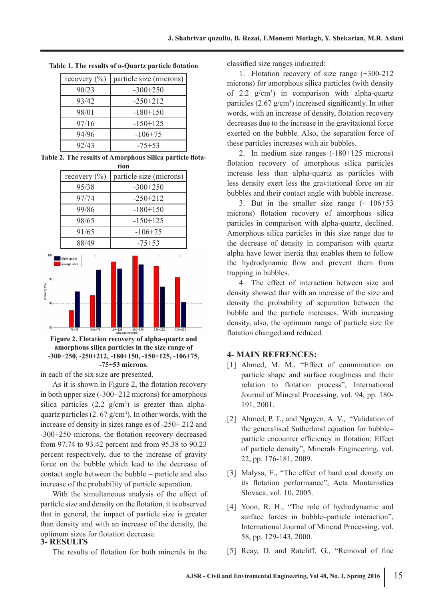| recovery $(\% )$ | particle size (microns) |
|------------------|-------------------------|
| 90/23            | $-300+250$              |
| 93/42            | $-250+212$              |
| 98/01            | $-180+150$              |
| 97/16            | $-150+125$              |
| 94/96            | $-106+75$               |
| 92/43            | $-75+53$                |

**Table 1. The results of α-Quartz particle flotation**

**Table 2. The results of Amorphous Silica particle flotation**





**Figure 2. Flotation recovery of alpha-quartz and amorphous silica particles in the size range of -300+250, -250+212, -180+150, -150+125, -106+75, -75+53 microns.**

in each of the six size are presented.

 $10$ 

ecovery (%)

As it is shown in Figure 2, the flotation recovery in both upper size (-300+212 microns) for amorphous silica particles  $(2.2 \text{ g/cm}^3)$  is greater than alphaquartz particles  $(2.67 \text{ g/cm}^3)$ . In other words, with the increase of density in sizes range es of -250+ 212 and -300+250 microns, the flotation recovery decreased from 97.74 to 93.42 percent and from 95.38 to 90.23 percent respectively, due to the increase of gravity force on the bubble which lead to the decrease of contact angle between the bubble – particle and also increase of the probability of particle separation.

With the simultaneous analysis of the effect of particle size and density on the flotation, it is observed that in general, the impact of particle size is greater than density and with an increase of the density, the optimum sizes for flotation decrease.

# **3- RESULTS**

The results of flotation for both minerals in the

classified size ranges indicated:

1. Flotation recovery of size range (+300-212 microns) for amorphous silica particles (with density of 2.2  $g/cm^3$  in comparison with alpha-quartz particles  $(2.67 \text{ g/cm}^3)$  increased significantly. In other words, with an increase of density, flotation recovery decreases due to the increase in the gravitational force exerted on the bubble. Also, the separation force of these particles increases with air bubbles.

2. In medium size ranges (-180+125 microns) flotation recovery of amorphous silica particles increase less than alpha-quartz as particles with less density exert less the gravitational force on air bubbles and their contact angle with bubble increase.

3. But in the smaller size range (- 106+53 microns) flotation recovery of amorphous silica particles in comparison with alpha-quartz, declined. Amorphous silica particles in this size range due to the decrease of density in comparison with quartz alpha have lower inertia that enables them to follow the hydrodynamic flow and prevent them from trapping in bubbles.

4. The effect of interaction between size and density showed that with an increase of the size and density the probability of separation between the bubble and the particle increases. With increasing density, also, the optimum range of particle size for flotation changed and reduced.

## **4- MAIN REFRENCES:**

- [1] Ahmed, M. M., "Effect of comminution on particle shape and surface roughness and their relation to flotation process", International Journal of Mineral Processing, vol. 94, pp. 180- 191, 2001.
- [2] Ahmed, P. T., and Nguyen, A. V., "Validation of the generalised Sutherland equation for bubble– particle encounter efficiency in flotation: Effect of particle density", Minerals Engineering, vol. 22, pp. 176-181, 2009.
- [3] Małysa, E., "The effect of hard coal density on its flotation performance", Acta Montanistica Slovaca, vol. 10, 2005.
- [4] Yoon, R. H., "The role of hydrodynamic and surface forces in bubble–particle interaction", International Journal of Mineral Processing, vol. 58, pp. 129-143, 2000.
- [5] Reay, D. and Ratcliff, G., "Removal of fine